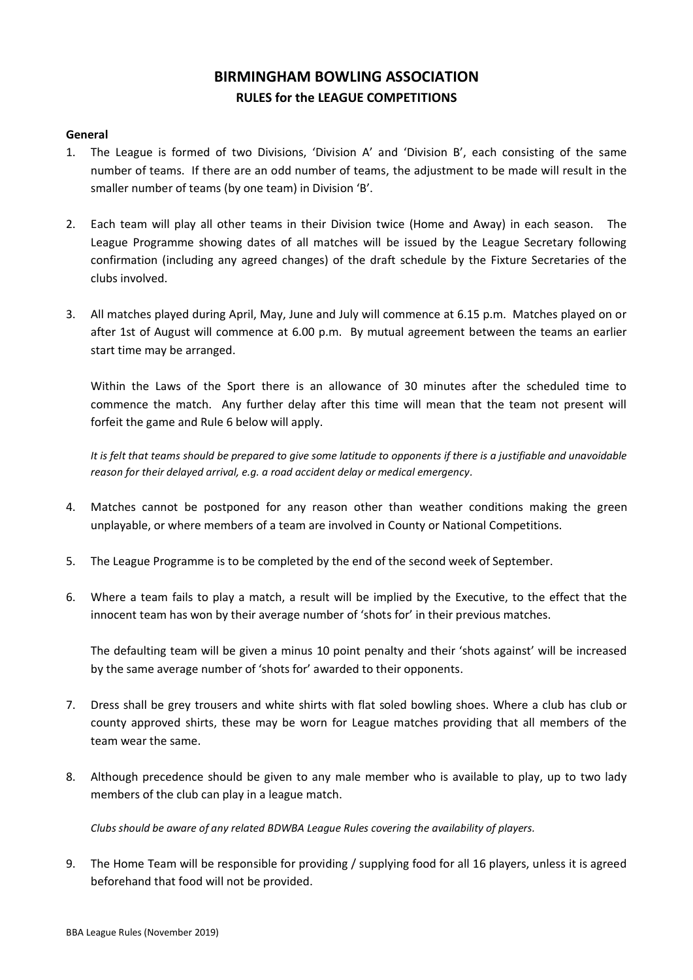# **BIRMINGHAM BOWLING ASSOCIATION RULES for the LEAGUE COMPETITIONS**

## **General**

- 1. The League is formed of two Divisions, 'Division A' and 'Division B', each consisting of the same number of teams. If there are an odd number of teams, the adjustment to be made will result in the smaller number of teams (by one team) in Division 'B'.
- 2. Each team will play all other teams in their Division twice (Home and Away) in each season. The League Programme showing dates of all matches will be issued by the League Secretary following confirmation (including any agreed changes) of the draft schedule by the Fixture Secretaries of the clubs involved.
- 3. All matches played during April, May, June and July will commence at 6.15 p.m. Matches played on or after 1st of August will commence at 6.00 p.m. By mutual agreement between the teams an earlier start time may be arranged.

Within the Laws of the Sport there is an allowance of 30 minutes after the scheduled time to commence the match. Any further delay after this time will mean that the team not present will forfeit the game and Rule 6 below will apply.

*It is felt that teams should be prepared to give some latitude to opponents if there is a justifiable and unavoidable reason for their delayed arrival, e.g. a road accident delay or medical emergency.*

- 4. Matches cannot be postponed for any reason other than weather conditions making the green unplayable, or where members of a team are involved in County or National Competitions.
- 5. The League Programme is to be completed by the end of the second week of September.
- 6. Where a team fails to play a match, a result will be implied by the Executive, to the effect that the innocent team has won by their average number of 'shots for' in their previous matches.

The defaulting team will be given a minus 10 point penalty and their 'shots against' will be increased by the same average number of 'shots for' awarded to their opponents.

- 7. Dress shall be grey trousers and white shirts with flat soled bowling shoes. Where a club has club or county approved shirts, these may be worn for League matches providing that all members of the team wear the same.
- 8. Although precedence should be given to any male member who is available to play, up to two lady members of the club can play in a league match.

*Clubs should be aware of any related BDWBA League Rules covering the availability of players.*

9. The Home Team will be responsible for providing / supplying food for all 16 players, unless it is agreed beforehand that food will not be provided.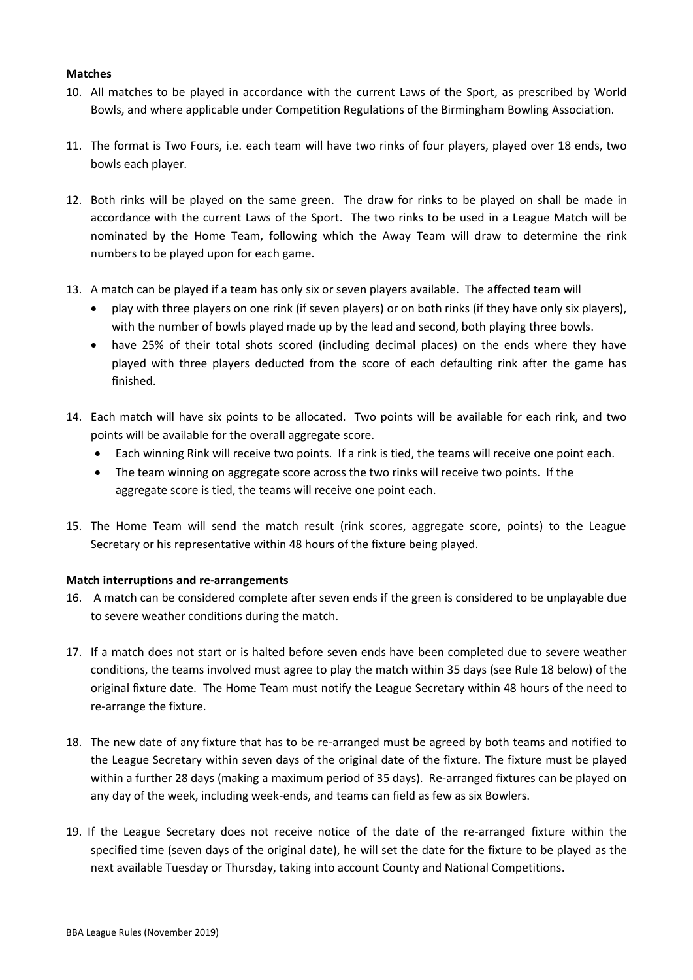## **Matches**

- 10. All matches to be played in accordance with the current Laws of the Sport, as prescribed by World Bowls, and where applicable under Competition Regulations of the Birmingham Bowling Association.
- 11. The format is Two Fours, i.e. each team will have two rinks of four players, played over 18 ends, two bowls each player.
- 12. Both rinks will be played on the same green. The draw for rinks to be played on shall be made in accordance with the current Laws of the Sport. The two rinks to be used in a League Match will be nominated by the Home Team, following which the Away Team will draw to determine the rink numbers to be played upon for each game.
- 13. A match can be played if a team has only six or seven players available. The affected team will
	- play with three players on one rink (if seven players) or on both rinks (if they have only six players), with the number of bowls played made up by the lead and second, both playing three bowls.
	- have 25% of their total shots scored (including decimal places) on the ends where they have played with three players deducted from the score of each defaulting rink after the game has finished.
- 14. Each match will have six points to be allocated. Two points will be available for each rink, and two points will be available for the overall aggregate score.
	- Each winning Rink will receive two points. If a rink is tied, the teams will receive one point each.
	- The team winning on aggregate score across the two rinks will receive two points. If the aggregate score is tied, the teams will receive one point each.
- 15. The Home Team will send the match result (rink scores, aggregate score, points) to the League Secretary or his representative within 48 hours of the fixture being played.

## **Match interruptions and re-arrangements**

- 16. A match can be considered complete after seven ends if the green is considered to be unplayable due to severe weather conditions during the match.
- 17. If a match does not start or is halted before seven ends have been completed due to severe weather conditions, the teams involved must agree to play the match within 35 days (see Rule 18 below) of the original fixture date. The Home Team must notify the League Secretary within 48 hours of the need to re-arrange the fixture.
- 18. The new date of any fixture that has to be re-arranged must be agreed by both teams and notified to the League Secretary within seven days of the original date of the fixture. The fixture must be played within a further 28 days (making a maximum period of 35 days). Re-arranged fixtures can be played on any day of the week, including week-ends, and teams can field as few as six Bowlers.
- 19. If the League Secretary does not receive notice of the date of the re-arranged fixture within the specified time (seven days of the original date), he will set the date for the fixture to be played as the next available Tuesday or Thursday, taking into account County and National Competitions.